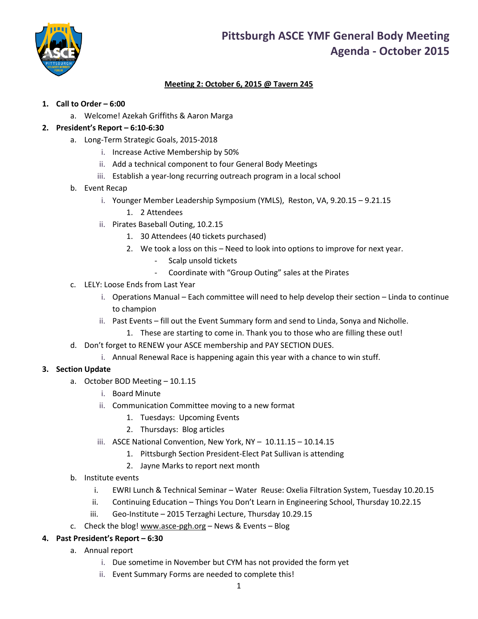

## **Meeting 2: October 6, 2015 @ Tavern 245**

### **1. Call to Order – 6:00**

a. Welcome! Azekah Griffiths & Aaron Marga

### **2. President's Report – 6:10-6:30**

- a. Long-Term Strategic Goals, 2015-2018
	- i. Increase Active Membership by 50%
	- ii. Add a technical component to four General Body Meetings
	- iii. Establish a year-long recurring outreach program in a local school

#### b. Event Recap

- i. Younger Member Leadership Symposium (YMLS), Reston, VA, 9.20.15 9.21.15
	- 1. 2 Attendees
- ii. Pirates Baseball Outing, 10.2.15
	- 1. 30 Attendees (40 tickets purchased)
	- 2. We took a loss on this Need to look into options to improve for next year.
		- Scalp unsold tickets
		- Coordinate with "Group Outing" sales at the Pirates
- c. LELY: Loose Ends from Last Year
	- i. Operations Manual Each committee will need to help develop their section Linda to continue to champion
	- ii. Past Events fill out the Event Summary form and send to Linda, Sonya and Nicholle.
		- 1. These are starting to come in. Thank you to those who are filling these out!
- d. Don't forget to RENEW your ASCE membership and PAY SECTION DUES.
	- i. Annual Renewal Race is happening again this year with a chance to win stuff.

#### **3. Section Update**

- a. October BOD Meeting 10.1.15
	- i. Board Minute
	- ii. Communication Committee moving to a new format
		- 1. Tuesdays: Upcoming Events
		- 2. Thursdays: Blog articles
	- iii. ASCE National Convention, New York, NY 10.11.15 10.14.15
		- 1. Pittsburgh Section President-Elect Pat Sullivan is attending
		- 2. Jayne Marks to report next month
- b. Institute events
	- i. EWRI Lunch & Technical Seminar Water Reuse: Oxelia Filtration System, Tuesday 10.20.15
	- ii. Continuing Education Things You Don't Learn in Engineering School, Thursday 10.22.15
	- iii. Geo-Institute 2015 Terzaghi Lecture, Thursday 10.29.15
- c. Check the blog! [www.asce-pgh.org](http://www.asce-pgh.org/) News & Events Blog

#### **4. Past President's Report – 6:30**

- a. Annual report
	- i. Due sometime in November but CYM has not provided the form yet
	- ii. Event Summary Forms are needed to complete this!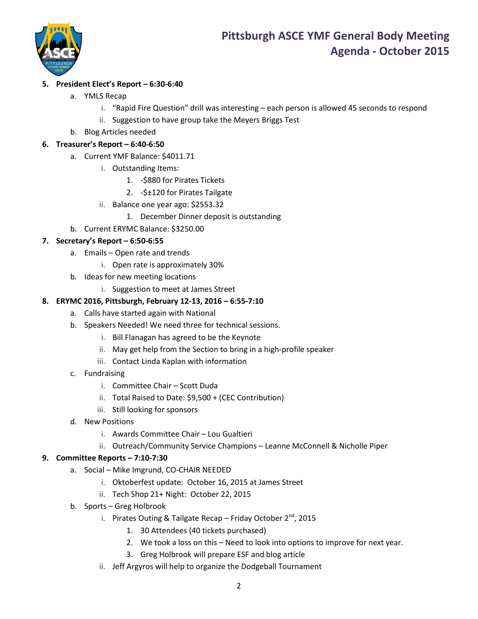

## **5. President Elect's Report – 6:30-6:40**

- a. YMLS Recap
	- i. "Rapid Fire Question" drill was interesting each person is allowed 45 seconds to respond
	- ii. Suggestion to have group take the Meyers Briggs Test
- b. Blog Articles needed

## **6. Treasurer's Report – 6:40-6:50**

- a. Current YMF Balance: \$4011.71
	- i. Outstanding Items:
		- 1. -\$880 for Pirates Tickets
		- 2. -\$±120 for Pirates Tailgate
	- ii. Balance one year ago: \$2553.32
		- 1. December Dinner deposit is outstanding
- b. Current ERYMC Balance: \$3250.00

## **7. Secretary's Report – 6:50-6:55**

- a. Emails Open rate and trends
	- i. Open rate is approximately 30%
- b. Ideas for new meeting locations
	- i. Suggestion to meet at James Street

## **8. ERYMC 2016, Pittsburgh, February 12-13, 2016 – 6:55-7:10**

- a. Calls have started again with National
- b. Speakers Needed! We need three for technical sessions.
	- i. Bill Flanagan has agreed to be the Keynote
	- ii. May get help from the Section to bring in a high-profile speaker
	- iii. Contact Linda Kaplan with information
- c. Fundraising
	- i. Committee Chair Scott Duda
	- ii. Total Raised to Date: \$9,500 + (CEC Contribution)
	- iii. Still looking for sponsors
- d. New Positions
	- i. Awards Committee Chair Lou Gualtieri
	- ii. Outreach/Community Service Champions Leanne McConnell & Nicholle Piper

### **9. Committee Reports – 7:10-7:30**

- a. Social Mike Imgrund, CO-CHAIR NEEDED
	- i. Oktoberfest update: October 16, 2015 at James Street
	- ii. Tech Shop 21+ Night: October 22, 2015
- b. Sports Greg Holbrook
	- i. Pirates Outing & Tailgate Recap Friday October  $2^{nd}$ , 2015
		- 1. 30 Attendees (40 tickets purchased)
		- 2. We took a loss on this Need to look into options to improve for next year.
		- 3. Greg Holbrook will prepare ESF and blog article
	- ii. Jeff Argyros will help to organize the Dodgeball Tournament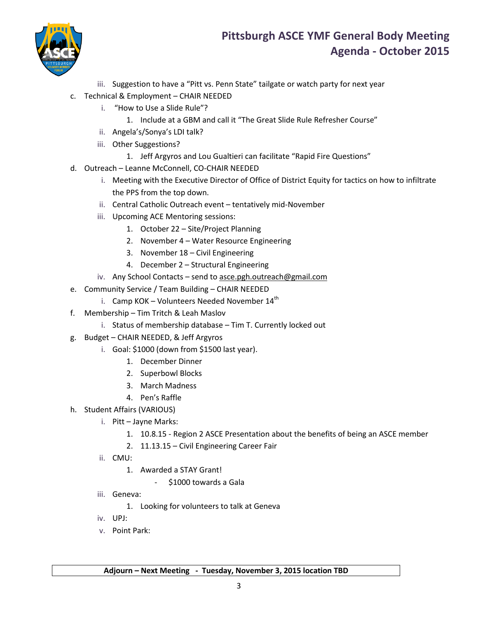

- iii. Suggestion to have a "Pitt vs. Penn State" tailgate or watch party for next year
- c. Technical & Employment CHAIR NEEDED
	- i. "How to Use a Slide Rule"?
		- 1. Include at a GBM and call it "The Great Slide Rule Refresher Course"
	- ii. Angela's/Sonya's LDI talk?
	- iii. Other Suggestions?
		- 1. Jeff Argyros and Lou Gualtieri can facilitate "Rapid Fire Questions"
- d. Outreach Leanne McConnell, CO-CHAIR NEEDED
	- i. Meeting with the Executive Director of Office of District Equity for tactics on how to infiltrate the PPS from the top down.
	- ii. Central Catholic Outreach event tentatively mid-November
	- iii. Upcoming ACE Mentoring sessions:
		- 1. October 22 Site/Project Planning
		- 2. November 4 Water Resource Engineering
		- 3. November 18 Civil Engineering
		- 4. December 2 Structural Engineering
	- iv. Any School Contacts send to [asce.pgh.outreach@gmail.com](mailto:asce.pgh.outreach@gmail.com)
- e. Community Service / Team Building CHAIR NEEDED
	- i. Camp KOK Volunteers Needed November  $14<sup>th</sup>$
- f. Membership Tim Tritch & Leah Maslov
	- i. Status of membership database Tim T. Currently locked out
- g. Budget CHAIR NEEDED, & Jeff Argyros
	- i. Goal: \$1000 (down from \$1500 last year).
		- 1. December Dinner
		- 2. Superbowl Blocks
		- 3. March Madness
		- 4. Pen's Raffle
- h. Student Affairs (VARIOUS)
	- i. Pitt Jayne Marks:
		- 1. 10.8.15 Region 2 ASCE Presentation about the benefits of being an ASCE member
		- 2. 11.13.15 Civil Engineering Career Fair
	- ii. CMU:
		- 1. Awarded a STAY Grant!
			- \$1000 towards a Gala
	- iii. Geneva:
		- 1. Looking for volunteers to talk at Geneva
	- iv. UPJ:
	- v. Point Park: